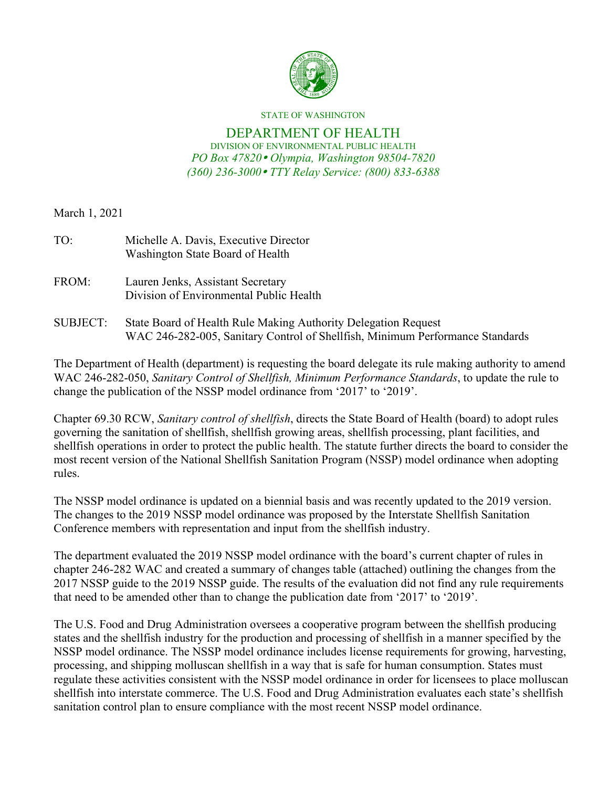

#### STATE OF WASHINGTON

#### DEPARTMENT OF HEALTH DIVISION OF ENVIRONMENTAL PUBLIC HEALTH *PO Box 47820 Olympia, Washington 98504-7820 (360) 236-3000 TTY Relay Service: (800) 833-6388*

March 1, 2021

| TO:       | Michelle A. Davis, Executive Director<br>Washington State Board of Health    |
|-----------|------------------------------------------------------------------------------|
| FROM:     | Lauren Jenks, Assistant Secretary<br>Division of Environmental Public Health |
| CHD IECT. | State Board of Hoalth Pulo Making Authority Delegation Boquest               |

SUBJECT: State Board of Health Rule Making Authority Delegation Request WAC 246-282-005, Sanitary Control of Shellfish, Minimum Performance Standards

The Department of Health (department) is requesting the board delegate its rule making authority to amend WAC 246-282-050, *Sanitary Control of Shellfish, Minimum Performance Standards*, to update the rule to change the publication of the NSSP model ordinance from '2017' to '2019'.

Chapter 69.30 RCW, *Sanitary control of shellfish*, directs the State Board of Health (board) to adopt rules governing the sanitation of shellfish, shellfish growing areas, shellfish processing, plant facilities, and shellfish operations in order to protect the public health. The statute further directs the board to consider the most recent version of the National Shellfish Sanitation Program (NSSP) model ordinance when adopting rules.

The NSSP model ordinance is updated on a biennial basis and was recently updated to the 2019 version. The changes to the 2019 NSSP model ordinance was proposed by the Interstate Shellfish Sanitation Conference members with representation and input from the shellfish industry.

The department evaluated the 2019 NSSP model ordinance with the board's current chapter of rules in chapter 246-282 WAC and created a summary of changes table (attached) outlining the changes from the 2017 NSSP guide to the 2019 NSSP guide. The results of the evaluation did not find any rule requirements that need to be amended other than to change the publication date from '2017' to '2019'.

The U.S. Food and Drug Administration oversees a cooperative program between the shellfish producing states and the shellfish industry for the production and processing of shellfish in a manner specified by the NSSP model ordinance. The NSSP model ordinance includes license requirements for growing, harvesting, processing, and shipping molluscan shellfish in a way that is safe for human consumption. States must regulate these activities consistent with the NSSP model ordinance in order for licensees to place molluscan shellfish into interstate commerce. The U.S. Food and Drug Administration evaluates each state's shellfish sanitation control plan to ensure compliance with the most recent NSSP model ordinance.